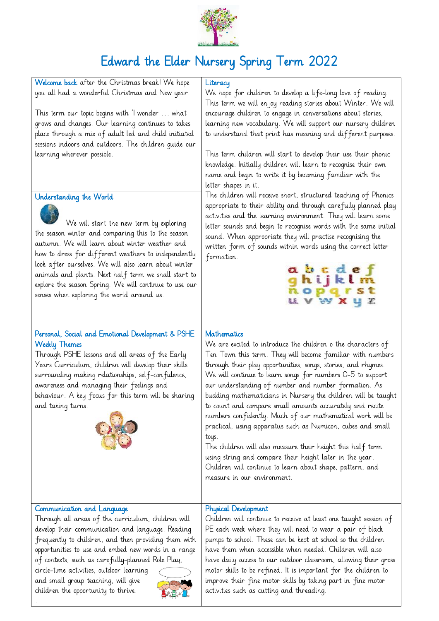

## Edward the Elder Nursery Spring Term 2022

| Welcome back after the Christmas break! We hope<br>you all had a wonderful Christmas and New year.                                                                                                                                                                                                                                                                                                                                                                                         | Literacy<br>We hope for children to develop a life-long love of reading.<br>This term we will en joy reading stories about Winter. We will                                                                                                                                                                                                                                                                                                                                                                                                                                                                                                                                                                                                                                                                                |
|--------------------------------------------------------------------------------------------------------------------------------------------------------------------------------------------------------------------------------------------------------------------------------------------------------------------------------------------------------------------------------------------------------------------------------------------------------------------------------------------|---------------------------------------------------------------------------------------------------------------------------------------------------------------------------------------------------------------------------------------------------------------------------------------------------------------------------------------------------------------------------------------------------------------------------------------------------------------------------------------------------------------------------------------------------------------------------------------------------------------------------------------------------------------------------------------------------------------------------------------------------------------------------------------------------------------------------|
| This term our topic begins with 'I wonder  what<br>grows and changes. Our learning continues to takes<br>place through a mix of adult led and child initiated<br>sessions indoors and outdoors. The children quide our                                                                                                                                                                                                                                                                     | encourage children to engage in conversations about stories,<br>learning new vocabulary. We will support our nursery children<br>to understand that print has meaning and different purposes.                                                                                                                                                                                                                                                                                                                                                                                                                                                                                                                                                                                                                             |
| learning wherever possible.<br>Understanding the World<br>We will start the new term by exploring<br>the season winter and comparing this to the season<br>autumn. We will learn about winter weather and<br>how to dress for different weathers to independently<br>look after ourselves. We will also learn about winter<br>animals and plants. Next half term we shall start to<br>explore the season Spring. We will continue to use our<br>senses when exploring the world around us. | This term children will start to develop their use their phonic<br>knowledge. Initially children will learn to recognise their own<br>name and begin to write it by becoming familiar with the<br>letter shapes in it.<br>The children will receive short, structured teaching of Phonics<br>appropriate to their ability and through carefully planned play<br>activities and the learning environment. They will learn some<br>letter sounds and begin to recognise words with the same initial<br>sound. When appropriate they will practise recognising the<br>written form of sounds within words using the correct letter<br>formation.<br>a b c d e f<br>gh i j k l m<br>n o p q r s t<br><b>UVWXYZ</b>                                                                                                            |
| Personal, Social and Emotional Development & PSHE<br><b>Weekly Themes</b><br>Through PSHE lessons and all areas of the Early<br>Years Curriculum, children will develop their skills<br>surrounding making relationships, self-confidence,<br>awareness and managing their feelings and<br>behaviour. A key focus for this term will be sharing<br>and taking turns.                                                                                                                       | Mathematics<br>We are excited to introduce the children o the characters of<br>Ten Town this term. They will become familiar with numbers<br>through their play opportunities, songs, stories, and rhymes.<br>We will continue to learn songs for numbers 0-5 to support<br>our understanding of number and number formation. As<br>budding mathematicians in Nursery the children will be taught<br>to count and compare small amounts accurately and recite<br>numbers confidently. Much of our mathematical work will be<br>practical, using apparatus such as Numicon, cubes and small<br>toys.<br>The children will also measure their height this half term<br>using string and compare their height later in the year.<br>Children will continue to learn about shape, pattern, and<br>measure in our environment. |
| Communication and Language<br>Through all areas of the curriculum, children will<br>develop their communication and language. Reading<br>frequently to children, and then providing them with<br>opportunities to use and embed new words in a range<br>of contexts, such as carefully-planned Role Play,<br>circle-time activities, outdoor learning<br>and small group teaching, will give<br>children the opportunity to thrive.                                                        | <b>Physical Development</b><br>Children will continue to receive at least one taught session of<br>PE each week where they will need to wear a pair of black<br>pumps to school. These can be kept at school so the children<br>have them when accessible when needed. Children will also<br>have daily access to our outdoor classroom, allowing their gross<br>motor skills to be refined. It is important for the children to<br>improve their fine motor skills by taking part in fine motor<br>activities such as cutting and threading.                                                                                                                                                                                                                                                                             |

.